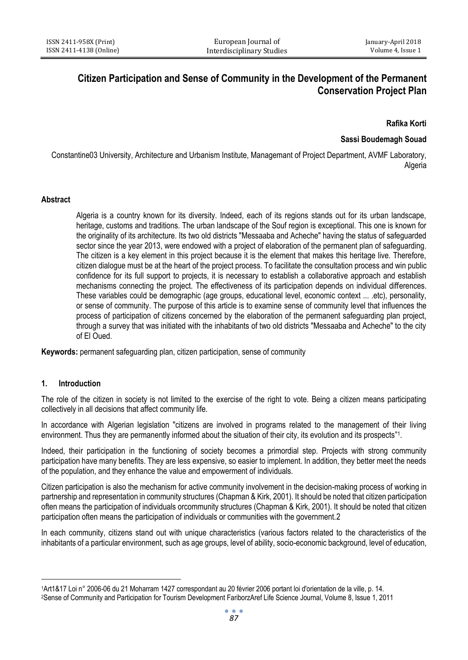# **Citizen Participation and Sense of Community in the Development of the Permanent Conservation Project Plan**

**Rafika Korti**

# **Sassi Boudemagh Souad**

Constantine03 University, Architecture and Urbanism Institute, Managemant of Project Department, AVMF Laboratory, Algeria

#### **Abstract**

Algeria is a country known for its diversity. Indeed, each of its regions stands out for its urban landscape, heritage, customs and traditions. The urban landscape of the Souf region is exceptional. This one is known for the originality of its architecture. Its two old districts "Messaaba and Acheche" having the status of safeguarded sector since the year 2013, were endowed with a project of elaboration of the permanent plan of safeguarding. The citizen is a key element in this project because it is the element that makes this heritage live. Therefore, citizen dialogue must be at the heart of the project process. To facilitate the consultation process and win public confidence for its full support to projects, it is necessary to establish a collaborative approach and establish mechanisms connecting the project. The effectiveness of its participation depends on individual differences. These variables could be demographic (age groups, educational level, economic context ... .etc), personality, or sense of community. The purpose of this article is to examine sense of community level that influences the process of participation of citizens concerned by the elaboration of the permanent safeguarding plan project, through a survey that was initiated with the inhabitants of two old districts "Messaaba and Acheche" to the city of El Oued.

**Keywords:** permanent safeguarding plan, citizen participation, sense of community

#### **1. Introduction**

 $\overline{a}$ 

The role of the citizen in society is not limited to the exercise of the right to vote. Being a citizen means participating collectively in all decisions that affect community life.

In accordance with Algerian legislation "citizens are involved in programs related to the management of their living environment. Thus they are permanently informed about the situation of their city, its evolution and its prospects"1.

Indeed, their participation in the functioning of society becomes a primordial step. Projects with strong community participation have many benefits. They are less expensive, so easier to implement. In addition, they better meet the needs of the population, and they enhance the value and empowerment of individuals.

Citizen participation is also the mechanism for active community involvement in the decision-making process of working in partnership and representation in community structures (Chapman & Kirk, 2001). It should be noted that citizen participation often means the participation of individuals orcommunity structures (Chapman & Kirk, 2001). It should be noted that citizen participation often means the participation of individuals or communities with the government.2

In each community, citizens stand out with unique characteristics (various factors related to the characteristics of the inhabitants of a particular environment, such as age groups, level of ability, socio-economic background, level of education,

<sup>1</sup>Art1&17 Loi n° 2006-06 du 21 Moharram 1427 correspondant au 20 février 2006 portant loi d'orientation de la ville, p. 14. 2Sense of Community and Participation for Tourism Development FariborzAref Life Science Journal, Volume 8, Issue 1, 2011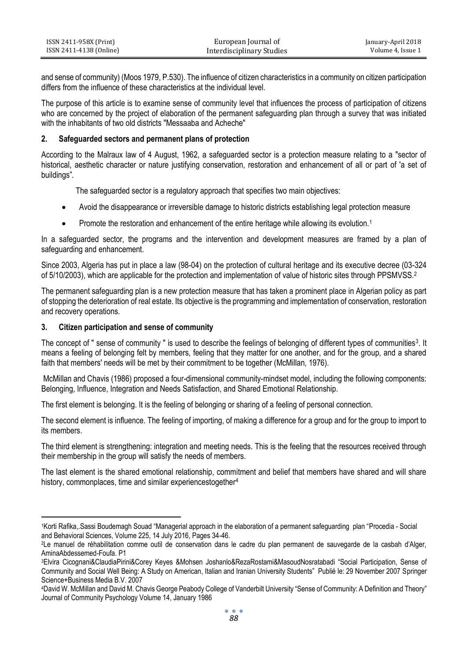| ISSN 2411-958X (Print)  | European Journal of       | January-April 2018 |
|-------------------------|---------------------------|--------------------|
| ISSN 2411-4138 (Online) | Interdisciplinary Studies | Volume 4. Issue 1  |

and sense of community) (Moos 1979, P.530). The influence of citizen characteristics in a community on citizen participation differs from the influence of these characteristics at the individual level.

The purpose of this article is to examine sense of community level that influences the process of participation of citizens who are concerned by the project of elaboration of the permanent safeguarding plan through a survey that was initiated with the inhabitants of two old districts "Messaaba and Acheche"

## **2. Safeguarded sectors and permanent plans of protection**

According to the Malraux law of 4 August, 1962, a safeguarded sector is a protection measure relating to a "sector of historical, aesthetic character or nature justifying conservation, restoration and enhancement of all or part of 'a set of buildings".

The safeguarded sector is a regulatory approach that specifies two main objectives:

- Avoid the disappearance or irreversible damage to historic districts establishing legal protection measure
- Promote the restoration and enhancement of the entire heritage while allowing its evolution.<sup>1</sup>

In a safeguarded sector, the programs and the intervention and development measures are framed by a plan of safeguarding and enhancement.

Since 2003, Algeria has put in place a law (98-04) on the protection of cultural heritage and its executive decree (03-324 of 5/10/2003), which are applicable for the protection and implementation of value of historic sites through PPSMVSS.<sup>2</sup>

The permanent safeguarding plan is a new protection measure that has taken a prominent place in Algerian policy as part of stopping the deterioration of real estate. Its objective is the programming and implementation of conservation, restoration and recovery operations.

## **3. Citizen participation and sense of community**

The concept of " sense of community " is used to describe the feelings of belonging of different types of communities $^3$ . It means a feeling of belonging felt by members, feeling that they matter for one another, and for the group, and a shared faith that members' needs will be met by their commitment to be together (McMillan, 1976).

McMillan and Chavis (1986) proposed a four-dimensional community-mindset model, including the following components: Belonging, Influence, Integration and Needs Satisfaction, and Shared Emotional Relationship.

The first element is belonging. It is the feeling of belonging or sharing of a feeling of personal connection.

The second element is influence. The feeling of importing, of making a difference for a group and for the group to import to its members.

The third element is strengthening: integration and meeting needs. This is the feeling that the resources received through their membership in the group will satisfy the needs of members.

The last element is the shared emotional relationship, commitment and belief that members have shared and will share history, commonplaces, time and similar experiencestogether<sup>4</sup>

 $\overline{a}$ <sup>1</sup>Korti Rafika,.Sassi Boudemagh Souad "Managerial approach in the elaboration of a permanent safeguarding plan "[Procedia -](https://www.sciencedirect.com/science/journal/18770428) Social [and Behavioral Sciences,](https://www.sciencedirect.com/science/journal/18770428) [Volume 225,](https://www.sciencedirect.com/science/journal/18770428/225/supp/C) 14 July 2016, Pages 34-46.

<sup>2</sup>Le manuel de réhabilitation comme outil de conservation dans le cadre du plan permanent de sauvegarde de la casbah d'Alger, AminaAbdessemed-Foufa. P1

<sup>3</sup>Elvira Cicognani&ClaudiaPirini&Corey Keyes &Mohsen Joshanlo&RezaRostami&MasoudNosratabadi "Social Participation, Sense of Community and Social Well Being: A Study on American, Italian and Iranian University Students" Publié le: 29 November 2007 Springer Science+Business Media B.V. 2007

<sup>4</sup>David W. McMillan and David M. Chavis George Peabody College of Vanderbilt University "Sense of Community: A Definition and Theory" Journal of Community Psychology Volume 14, January 1986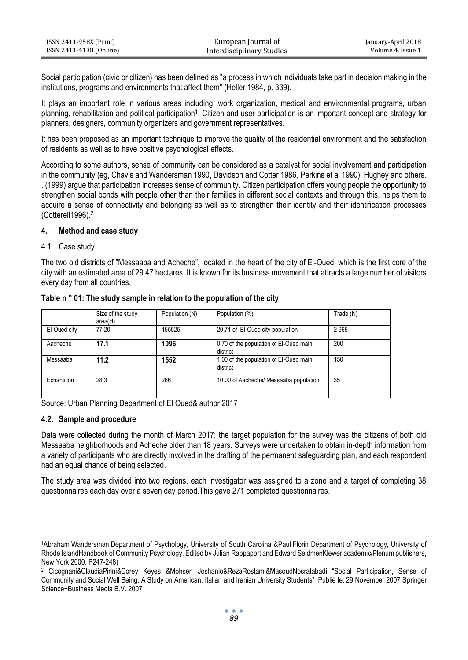| ISSN 2411-958X (Print)  | European Journal of       | January-April 2018 |
|-------------------------|---------------------------|--------------------|
| ISSN 2411-4138 (Online) | Interdisciplinary Studies | Volume 4. Issue 1  |

Social participation (civic or citizen) has been defined as "a process in which individuals take part in decision making in the institutions, programs and environments that affect them" (Heller 1984, p. 339).

It plays an important role in various areas including: work organization, medical and environmental programs, urban planning, rehabilitation and political participation<sup>1</sup>. Citizen and user participation is an important concept and strategy for planners, designers, community organizers and government representatives.

It has been proposed as an important technique to improve the quality of the residential environment and the satisfaction of residents as well as to have positive psychological effects.

According to some authors, sense of community can be considered as a catalyst for social involvement and participation in the community (eg, Chavis and Wandersman 1990, Davidson and Cotter 1986, Perkins et al 1990), Hughey and others. . (1999) argue that participation increases sense of community. Citizen participation offers young people the opportunity to strengthen social bonds with people other than their families in different social contexts and through this, helps them to acquire a sense of connectivity and belonging as well as to strengthen their identity and their identification processes (Cotterell1996).<sup>2</sup>

## **4. Method and case study**

## 4.1. Case study

The two old districts of "Messaaba and Acheche", located in the heart of the city of El-Oued, which is the first core of the city with an estimated area of 29.47 hectares. It is known for its business movement that attracts a large number of visitors every day from all countries.

|              | Size of the study<br>area(H) | Population (N) | Population (%)                                     | Trade (N) |
|--------------|------------------------------|----------------|----------------------------------------------------|-----------|
| El-Oued city | 77.20                        | 155525         | 20.71 of El-Oued city population                   | 2665      |
| Aacheche     | 17.1                         | 1096           | 0.70 of the population of EI-Oued main<br>district | 200       |
| Messaaba     | 11.2                         | 1552           | 1.00 of the population of El-Oued main<br>district | 150       |
| Echantillon  | 28.3                         | 266            | 10.00 of Aacheche/ Messaaba population             | 35        |

#### **Table n ° 01: The study sample in relation to the population of the city**

Source: Urban Planning Department of El Oued& author 2017

#### **4.2. Sample and procedure**

 $\overline{a}$ 

Data were collected during the month of March 2017; the target population for the survey was the citizens of both old Messaaba neighborhoods and Acheche older than 18 years. Surveys were undertaken to obtain in-depth information from a variety of participants who are directly involved in the drafting of the permanent safeguarding plan, and each respondent had an equal chance of being selected.

The study area was divided into two regions, each investigator was assigned to a zone and a target of completing 38 questionnaires each day over a seven day period.This gave 271 completed questionnaires.

<sup>1</sup>Abraham Wandersman Department of Psychology, University of South Carolina &Paul Florin Department of Psychology, University of Rhode Islan[dHandbook of Community Psychology.](https://link.springer.com/book/10.1007/978-1-4615-4193-6) Edited by Julian Rappaport and Edward SeidmenKlewer academic/Plenum publishers, New York 2000, P247-248)

<sup>2</sup> Cicognani&ClaudiaPirini&Corey Keyes &Mohsen Joshanlo&RezaRostami&MasoudNosratabadi "Social Participation, Sense of Community and Social Well Being: A Study on American, Italian and Iranian University Students" Publié le: 29 November 2007 Springer Science+Business Media B.V. 2007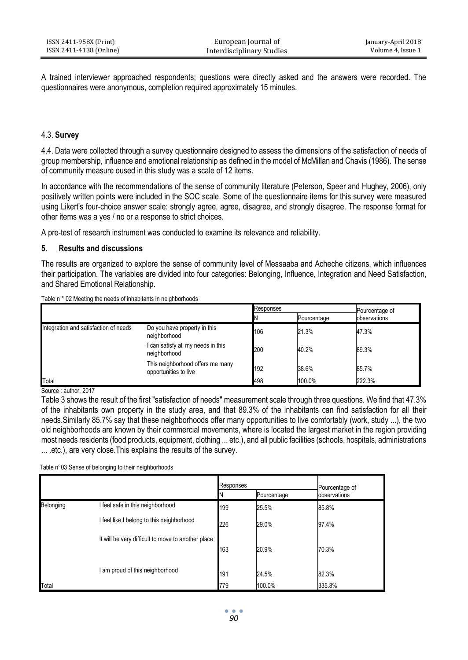A trained interviewer approached respondents; questions were directly asked and the answers were recorded. The questionnaires were anonymous, completion required approximately 15 minutes.

## 4.3. **Survey**

4.4. Data were collected through a survey questionnaire designed to assess the dimensions of the satisfaction of needs of group membership, influence and emotional relationship as defined in the model of McMillan and Chavis (1986). The sense of community measure oused in this study was a scale of 12 items.

In accordance with the recommendations of the sense of community literature (Peterson, Speer and Hughey, 2006), only positively written points were included in the SOC scale. Some of the questionnaire items for this survey were measured using Likert's four-choice answer scale: strongly agree, agree, disagree, and strongly disagree. The response format for other items was a yes / no or a response to strict choices.

A pre-test of research instrument was conducted to examine its relevance and reliability.

#### **5. Results and discussions**

The results are organized to explore the sense of community level of Messaaba and Acheche citizens, which influences their participation. The variables are divided into four categories: Belonging, Influence, Integration and Need Satisfaction, and Shared Emotional Relationship.

| Table n ° 02 Meeting the needs of inhabitants in neighborhoods |  |  |
|----------------------------------------------------------------|--|--|
|                                                                |  |  |

|                                       |                                                           | Responses |             | Pourcentage of |
|---------------------------------------|-----------------------------------------------------------|-----------|-------------|----------------|
|                                       |                                                           |           | Pourcentage | observations   |
| Integration and satisfaction of needs | Do you have property in this<br>neighborhood              | 106       | 21.3%       | 47.3%          |
|                                       | I can satisfy all my needs in this<br>neighborhood        | 200       | 40.2%       | 89.3%          |
|                                       | This neighborhood offers me many<br>opportunities to live | 192       | 38.6%       | 85.7%          |
| Total                                 |                                                           | 498       | 100.0%      | 222.3%         |

Source : author, 2017

Table 3 shows the result of the first "satisfaction of needs" measurement scale through three questions. We find that 47.3% of the inhabitants own property in the study area, and that 89.3% of the inhabitants can find satisfaction for all their needs.Similarly 85.7% say that these neighborhoods offer many opportunities to live comfortably (work, study ...), the two old neighborhoods are known by their commercial movements, where is located the largest market in the region providing most needs residents (food products, equipment, clothing ... etc.), and all public facilities (schools, hospitals, administrations ... .etc.), are very close.This explains the results of the survey.

Table n°03 Sense of belonging to their neighborhoods

|           |                                                    | Responses |             | Pourcentage of |
|-----------|----------------------------------------------------|-----------|-------------|----------------|
|           |                                                    |           | Pourcentage | observations   |
| Belonging | I feel safe in this neighborhood                   | 199       | 25.5%       | 85.8%          |
|           | I feel like I belong to this neighborhood          | 226       | 29.0%       | 97.4%          |
|           | It will be very difficult to move to another place | 163       | 20.9%       | 70.3%          |
|           | am proud of this neighborhood                      | 191       | 24.5%       | 82.3%          |
| Total     |                                                    | 779       | 100.0%      | 335.8%         |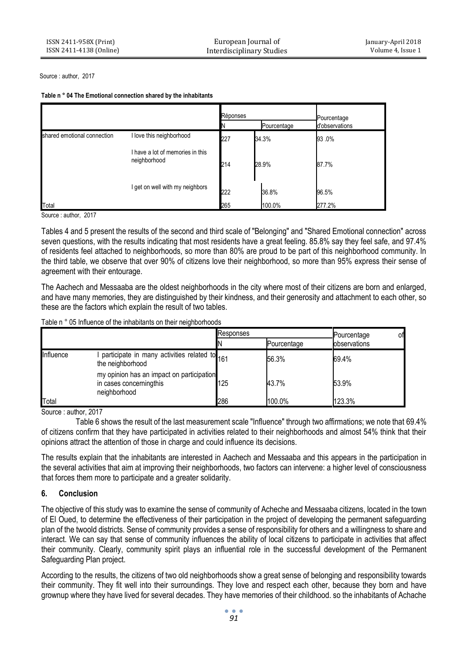Source : author, 2017

| Table n ° 04 The Emotional connection shared by the inhabitants |  |  |
|-----------------------------------------------------------------|--|--|
|                                                                 |  |  |

|                             |                                                  | Réponses |             | Pourcentage    |
|-----------------------------|--------------------------------------------------|----------|-------------|----------------|
|                             |                                                  |          | Pourcentage | d'observations |
| shared emotional connection | I love this neighborhood                         | 227      | 34.3%       | 93.0%          |
|                             | I have a lot of memories in this<br>neighborhood | 214      | 28.9%       | 87.7%          |
|                             | I get on well with my neighbors                  | 222      | 36.8%       | 96.5%          |
| Total                       |                                                  | 265      | 100.0%      | 277.2%         |

Source : author, 2017

Tables 4 and 5 present the results of the second and third scale of "Belonging" and "Shared Emotional connection" across seven questions, with the results indicating that most residents have a great feeling. 85.8% say they feel safe, and 97.4% of residents feel attached to neighborhoods, so more than 80% are proud to be part of this neighborhood community. In the third table, we observe that over 90% of citizens love their neighborhood, so more than 95% express their sense of agreement with their entourage.

The Aachech and Messaaba are the oldest neighborhoods in the city where most of their citizens are born and enlarged, and have many memories, they are distinguished by their kindness, and their generosity and attachment to each other, so these are the factors which explain the result of two tables.

Table n ° 05 Influence of the inhabitants on their neighborhoods

|           |                                                                                      | Responses |             | оf<br>Pourcentage |
|-----------|--------------------------------------------------------------------------------------|-----------|-------------|-------------------|
|           |                                                                                      |           | Pourcentage | observations      |
| Influence | participate in many activities related to 161<br>the neighborhood                    |           | 56.3%       | 69.4%             |
|           | my opinion has an impact on participation<br>in cases concerningthis<br>neighborhood | 125       | 43.7%       | 53.9%             |
| Total     |                                                                                      | 286       | 100.0%      | 123.3%            |

Source : author, 2017

Table 6 shows the result of the last measurement scale "Influence" through two affirmations; we note that 69.4% of citizens confirm that they have participated in activities related to their neighborhoods and almost 54% think that their opinions attract the attention of those in charge and could influence its decisions.

The results explain that the inhabitants are interested in Aachech and Messaaba and this appears in the participation in the several activities that aim at improving their neighborhoods, two factors can intervene: a higher level of consciousness that forces them more to participate and a greater solidarity.

# **6. Conclusion**

The objective of this study was to examine the sense of community of Acheche and Messaaba citizens, located in the town of El Oued, to determine the effectiveness of their participation in the project of developing the permanent safeguarding plan of the twoold districts. Sense of community provides a sense of responsibility for others and a willingness to share and interact. We can say that sense of community influences the ability of local citizens to participate in activities that affect their community. Clearly, community spirit plays an influential role in the successful development of the Permanent Safeguarding Plan project.

According to the results, the citizens of two old neighborhoods show a great sense of belonging and responsibility towards their community. They fit well into their surroundings. They love and respect each other, because they born and have grownup where they have lived for several decades. They have memories of their childhood. so the inhabitants of Achache